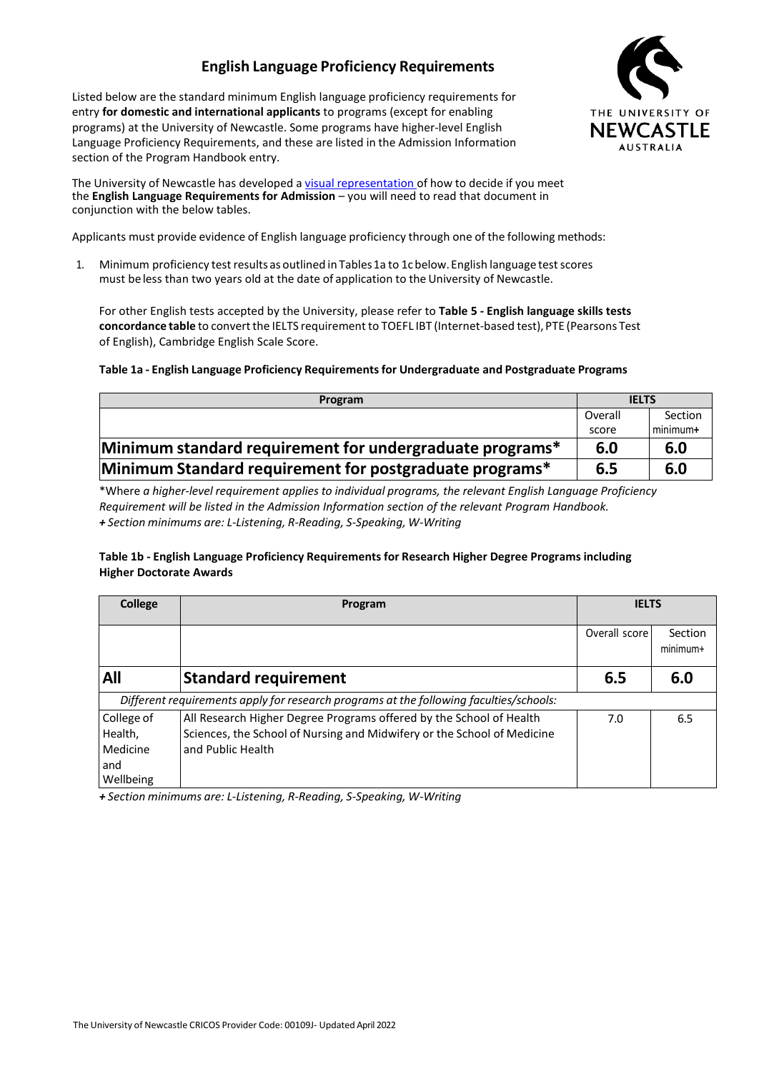# **English Language Proficiency Requirements**

Listed below are the standard minimum English language proficiency requirements for entry **for domestic and international applicants** to programs (except for enabling programs) at the University of Newcastle. Some programs have higher-level English Language Proficiency Requirements, and these are listed in the Admission Information section of the Program Handbook entry.



The University of Newcastle has developed a visual representation of how to decide if you meet the **English Language Requirements for Admission** – you will need to read that document in conjunction with the below tables.

Applicants must provide evidence of English language proficiency through one of the following methods:

1. Minimum proficiency test results as outlined in Tables 1a to 1c below. English language test scores must be less than two years old at the date of application to the University of Newcastle.

For other English tests accepted by the University, please refer to **Table 5 - English language skills tests concordance table** to convertthe IELTS requirement to TOEFL IBT (Internet-based test), PTE (Pearsons Test of English), Cambridge English Scale Score.

### **Table 1a - English Language Proficiency Requirementsfor Undergraduate and Postgraduate Programs**

| Program                                                  | <b>IELTS</b> |          |
|----------------------------------------------------------|--------------|----------|
|                                                          | Overall      | Section  |
|                                                          | score        | minimum+ |
| Minimum standard requirement for undergraduate programs* | 6.0          | 6.0      |
| Minimum Standard requirement for postgraduate programs*  | 6.5          | 6.0      |

\*Where *a higher-level requirement applies to individual programs, the relevant English Language Proficiency Requirement will be listed in the Admission Information section of the relevant Program Handbook. + Section minimums are: L-Listening, R-Reading, S-Speaking, W-Writing*

### **Table 1b - English Language Proficiency Requirements for Research Higher Degree Programs including Higher Doctorate Awards**

| <b>College</b>                                        | Program                                                                                                                                                             | <b>IELTS</b>  |                     |  |
|-------------------------------------------------------|---------------------------------------------------------------------------------------------------------------------------------------------------------------------|---------------|---------------------|--|
|                                                       |                                                                                                                                                                     | Overall score | Section<br>minimum+ |  |
| All                                                   | <b>Standard requirement</b>                                                                                                                                         | 6.5           | 6.0                 |  |
|                                                       | Different requirements apply for research programs at the following faculties/schools:                                                                              |               |                     |  |
| College of<br>Health,<br>Medicine<br>and<br>Wellbeing | All Research Higher Degree Programs offered by the School of Health<br>Sciences, the School of Nursing and Midwifery or the School of Medicine<br>and Public Health | 7.0           | 6.5                 |  |

*+ Section minimums are: L-Listening, R-Reading, S-Speaking, W-Writing*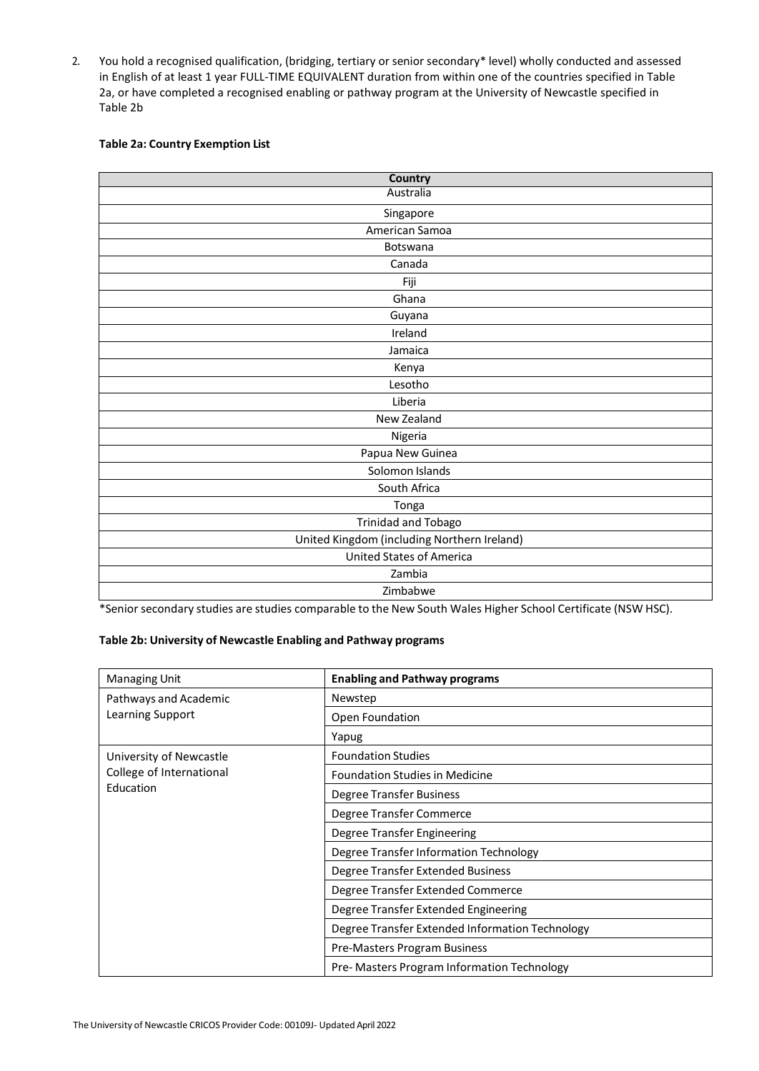2. You hold a recognised qualification, (bridging, tertiary or senior secondary\* level) wholly conducted and assessed in English of at least 1 year FULL-TIME EQUIVALENT duration from within one of the countries specified in Table 2a, or have completed a recognised enabling or pathway program at the University of Newcastle specified in Table 2b

### **Table 2a: Country Exemption List**

| <b>Country</b>                              |
|---------------------------------------------|
| Australia                                   |
| Singapore                                   |
| American Samoa                              |
| Botswana                                    |
| Canada                                      |
| Fiji                                        |
| Ghana                                       |
| Guyana                                      |
| Ireland                                     |
| Jamaica                                     |
| Kenya                                       |
| Lesotho                                     |
| Liberia                                     |
| New Zealand                                 |
| Nigeria                                     |
| Papua New Guinea                            |
| Solomon Islands                             |
| South Africa                                |
| Tonga                                       |
| <b>Trinidad and Tobago</b>                  |
| United Kingdom (including Northern Ireland) |
| <b>United States of America</b>             |
| Zambia                                      |
| Zimbabwe                                    |

\*Senior secondary studies are studies comparable to the New South Wales Higher School Certificate (NSW HSC).

### **Table 2b: University of Newcastle Enabling and Pathway programs**

| <b>Managing Unit</b>     | <b>Enabling and Pathway programs</b>            |  |  |  |  |
|--------------------------|-------------------------------------------------|--|--|--|--|
| Pathways and Academic    | Newstep                                         |  |  |  |  |
| Learning Support         | Open Foundation                                 |  |  |  |  |
|                          | Yapug                                           |  |  |  |  |
| University of Newcastle  | <b>Foundation Studies</b>                       |  |  |  |  |
| College of International | <b>Foundation Studies in Medicine</b>           |  |  |  |  |
| Education                | Degree Transfer Business                        |  |  |  |  |
|                          | Degree Transfer Commerce                        |  |  |  |  |
|                          | Degree Transfer Engineering                     |  |  |  |  |
|                          | Degree Transfer Information Technology          |  |  |  |  |
|                          | Degree Transfer Extended Business               |  |  |  |  |
|                          | Degree Transfer Extended Commerce               |  |  |  |  |
|                          | Degree Transfer Extended Engineering            |  |  |  |  |
|                          | Degree Transfer Extended Information Technology |  |  |  |  |
|                          | Pre-Masters Program Business                    |  |  |  |  |
|                          | Pre- Masters Program Information Technology     |  |  |  |  |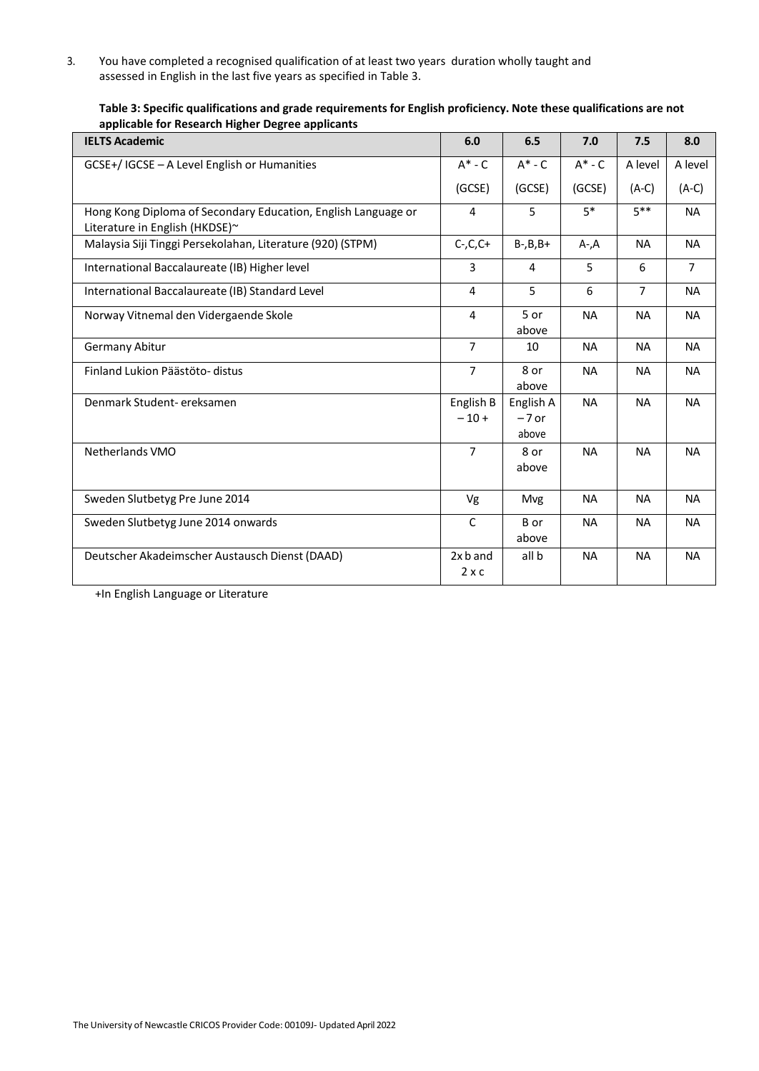3. You have completed a recognised qualification of at least two years duration wholly taught and assessed in English in the last five years as specified in Table 3.

| <b>IELTS Academic</b>                                                                           | 6.0                        | 6.5                           | 7.0         | 7.5            | 8.0            |
|-------------------------------------------------------------------------------------------------|----------------------------|-------------------------------|-------------|----------------|----------------|
| GCSE+/IGCSE - A Level English or Humanities                                                     | $A^*$ - $C$                | $A^*$ - $C$                   | $A^*$ - $C$ | A level        | A level        |
|                                                                                                 | (GCSE)                     | (GCSE)                        | (GCSE)      | $(A-C)$        | $(A-C)$        |
| Hong Kong Diploma of Secondary Education, English Language or<br>Literature in English (HKDSE)~ | 4                          | 5                             | $5*$        | $5***$         | <b>NA</b>      |
| Malaysia Siji Tinggi Persekolahan, Literature (920) (STPM)                                      | $C$ -, $C$ , $C$ +         | $B-, B, B+$                   | $A - A$     | <b>NA</b>      | <b>NA</b>      |
| International Baccalaureate (IB) Higher level                                                   | 3                          | 4                             | 5           | 6              | $\overline{7}$ |
| International Baccalaureate (IB) Standard Level                                                 | 4                          | 5                             | 6           | $\overline{7}$ | <b>NA</b>      |
| Norway Vitnemal den Vidergaende Skole                                                           | 4                          | 5 or<br>above                 | <b>NA</b>   | <b>NA</b>      | <b>NA</b>      |
| <b>Germany Abitur</b>                                                                           | 7                          | 10                            | <b>NA</b>   | <b>NA</b>      | <b>NA</b>      |
| Finland Lukion Päästöto- distus                                                                 | $\overline{7}$             | 8 or<br>above                 | <b>NA</b>   | <b>NA</b>      | <b>NA</b>      |
| Denmark Student-ereksamen                                                                       | English B<br>$-10+$        | English A<br>$-7$ or<br>above | <b>NA</b>   | <b>NA</b>      | <b>NA</b>      |
| Netherlands VMO                                                                                 | $\overline{7}$             | 8 or<br>above                 | <b>NA</b>   | <b>NA</b>      | <b>NA</b>      |
| Sweden Slutbetyg Pre June 2014                                                                  | Vg                         | <b>Mvg</b>                    | <b>NA</b>   | <b>NA</b>      | <b>NA</b>      |
| Sweden Slutbetyg June 2014 onwards                                                              | $\mathsf C$                | B or<br>above                 | <b>NA</b>   | <b>NA</b>      | <b>NA</b>      |
| Deutscher Akadeimscher Austausch Dienst (DAAD)                                                  | $2x$ b and<br>$2 \times c$ | all b                         | <b>NA</b>   | <b>NA</b>      | <b>NA</b>      |

**Table 3: Specific qualifications and grade requirements for English proficiency. Note these qualifications are not applicable for Research Higher Degree applicants**

+In English Language or Literature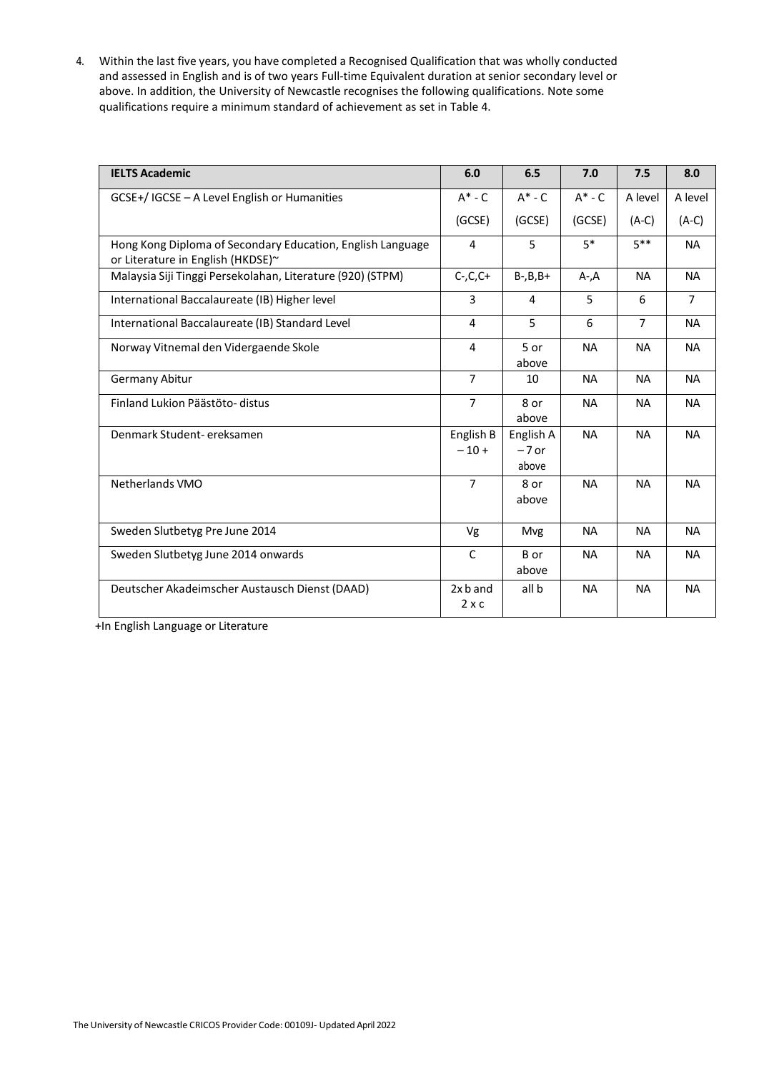4. Within the last five years, you have completed a Recognised Qualification that was wholly conducted and assessed in English and is of two years Full-time Equivalent duration at senior secondary level or above. In addition, the University of Newcastle recognises the following qualifications. Note some qualifications require a minimum standard of achievement as set in Table 4.

| <b>IELTS Academic</b>                                                                           | 6.0                      | 6.5                           | 7.0         | 7.5            | 8.0            |
|-------------------------------------------------------------------------------------------------|--------------------------|-------------------------------|-------------|----------------|----------------|
| GCSE+/ IGCSE - A Level English or Humanities                                                    | $A^*$ - $C$              | $A^*$ - $C$                   | $A^*$ - $C$ | A level        | A level        |
|                                                                                                 | (GCSE)                   | (GCSE)                        | (GCSE)      | $(A-C)$        | $(A-C)$        |
| Hong Kong Diploma of Secondary Education, English Language<br>or Literature in English (HKDSE)~ | 4                        | 5                             | $5*$        | $5***$         | <b>NA</b>      |
| Malaysia Siji Tinggi Persekolahan, Literature (920) (STPM)                                      | $C$ -, $C$ , $C$ +       | $B-, B, B+$                   | $A - A$     | <b>NA</b>      | <b>NA</b>      |
| International Baccalaureate (IB) Higher level                                                   | 3                        | 4                             | 5           | 6              | $\overline{7}$ |
| International Baccalaureate (IB) Standard Level                                                 | 4                        | 5                             | 6           | $\overline{7}$ | <b>NA</b>      |
| Norway Vitnemal den Vidergaende Skole                                                           | 4                        | 5 or<br>above                 | <b>NA</b>   | <b>NA</b>      | <b>NA</b>      |
| <b>Germany Abitur</b>                                                                           | $\overline{7}$           | 10                            | <b>NA</b>   | <b>NA</b>      | <b>NA</b>      |
| Finland Lukion Päästöto- distus                                                                 | $\overline{7}$           | 8 or<br>above                 | <b>NA</b>   | <b>NA</b>      | <b>NA</b>      |
| Denmark Student-ereksamen                                                                       | English B<br>$-10+$      | English A<br>$-7$ or<br>above | <b>NA</b>   | <b>NA</b>      | <b>NA</b>      |
| <b>Netherlands VMO</b>                                                                          | $\overline{7}$           | 8 or<br>above                 | <b>NA</b>   | <b>NA</b>      | <b>NA</b>      |
| Sweden Slutbetyg Pre June 2014                                                                  | Vg                       | Mvg                           | <b>NA</b>   | <b>NA</b>      | <b>NA</b>      |
| Sweden Slutbetyg June 2014 onwards                                                              | $\mathsf{C}$             | B or<br>above                 | <b>NA</b>   | <b>NA</b>      | <b>NA</b>      |
| Deutscher Akadeimscher Austausch Dienst (DAAD)                                                  | 2x b and<br>$2 \times c$ | all b                         | <b>NA</b>   | <b>NA</b>      | <b>NA</b>      |

+In English Language or Literature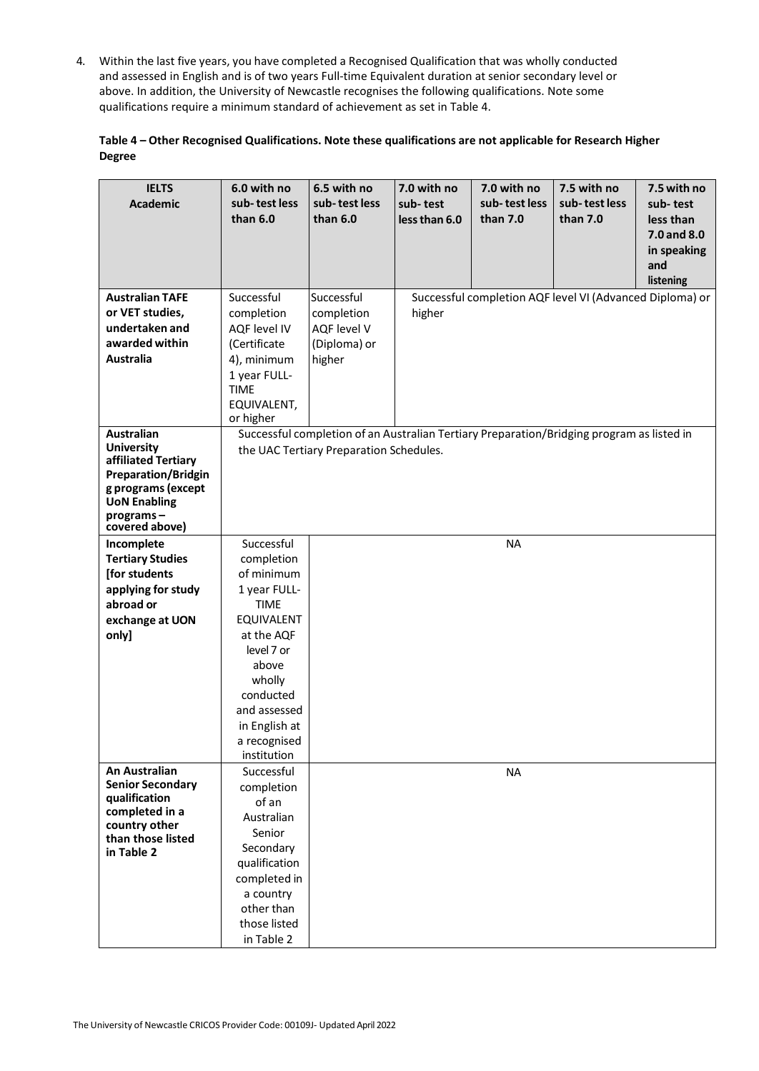4. Within the last five years, you have completed a Recognised Qualification that was wholly conducted and assessed in English and is of two years Full-time Equivalent duration at senior secondary level or above. In addition, the University of Newcastle recognises the following qualifications. Note some qualifications require a minimum standard of achievement as set in Table 4.

| Table 4 – Other Recognised Qualifications. Note these qualifications are not applicable for Research Higher |  |
|-------------------------------------------------------------------------------------------------------------|--|
| <b>Degree</b>                                                                                               |  |

| <b>IELTS</b><br><b>Academic</b>          | 6.0 with no<br>sub-test less<br>than $6.0$ | 6.5 with no<br>sub-test less<br>than $6.0$                                                | 7.0 with no<br>sub-test<br>less than 6.0 | 7.0 with no<br>sub-test less<br>than 7.0 | 7.5 with no<br>sub-test less<br>than 7.0                 | 7.5 with no<br>sub-test<br>less than<br>7.0 and 8.0<br>in speaking<br>and<br>listening |
|------------------------------------------|--------------------------------------------|-------------------------------------------------------------------------------------------|------------------------------------------|------------------------------------------|----------------------------------------------------------|----------------------------------------------------------------------------------------|
| <b>Australian TAFE</b>                   | Successful                                 | Successful                                                                                |                                          |                                          | Successful completion AQF level VI (Advanced Diploma) or |                                                                                        |
| or VET studies,<br>undertaken and        | completion<br><b>AQF level IV</b>          | completion<br>AQF level V                                                                 | higher                                   |                                          |                                                          |                                                                                        |
| awarded within                           | (Certificate                               | (Diploma) or                                                                              |                                          |                                          |                                                          |                                                                                        |
| <b>Australia</b>                         | 4), minimum                                | higher                                                                                    |                                          |                                          |                                                          |                                                                                        |
|                                          | 1 year FULL-                               |                                                                                           |                                          |                                          |                                                          |                                                                                        |
|                                          | <b>TIME</b>                                |                                                                                           |                                          |                                          |                                                          |                                                                                        |
|                                          | EQUIVALENT,                                |                                                                                           |                                          |                                          |                                                          |                                                                                        |
|                                          | or higher                                  |                                                                                           |                                          |                                          |                                                          |                                                                                        |
| <b>Australian</b>                        |                                            | Successful completion of an Australian Tertiary Preparation/Bridging program as listed in |                                          |                                          |                                                          |                                                                                        |
| <b>University</b><br>affiliated Tertiary |                                            | the UAC Tertiary Preparation Schedules.                                                   |                                          |                                          |                                                          |                                                                                        |
| <b>Preparation/Bridgin</b>               |                                            |                                                                                           |                                          |                                          |                                                          |                                                                                        |
| g programs (except                       |                                            |                                                                                           |                                          |                                          |                                                          |                                                                                        |
| <b>UoN Enabling</b>                      |                                            |                                                                                           |                                          |                                          |                                                          |                                                                                        |
| programs-<br>covered above)              |                                            |                                                                                           |                                          |                                          |                                                          |                                                                                        |
| Incomplete                               | Successful                                 |                                                                                           |                                          | <b>NA</b>                                |                                                          |                                                                                        |
| <b>Tertiary Studies</b>                  | completion                                 |                                                                                           |                                          |                                          |                                                          |                                                                                        |
| [for students                            | of minimum                                 |                                                                                           |                                          |                                          |                                                          |                                                                                        |
| applying for study                       | 1 year FULL-                               |                                                                                           |                                          |                                          |                                                          |                                                                                        |
| abroad or<br>exchange at UON             | <b>TIME</b><br><b>EQUIVALENT</b>           |                                                                                           |                                          |                                          |                                                          |                                                                                        |
| only]                                    | at the AQF                                 |                                                                                           |                                          |                                          |                                                          |                                                                                        |
|                                          | level 7 or                                 |                                                                                           |                                          |                                          |                                                          |                                                                                        |
|                                          | above                                      |                                                                                           |                                          |                                          |                                                          |                                                                                        |
|                                          | wholly                                     |                                                                                           |                                          |                                          |                                                          |                                                                                        |
|                                          | conducted                                  |                                                                                           |                                          |                                          |                                                          |                                                                                        |
|                                          | and assessed                               |                                                                                           |                                          |                                          |                                                          |                                                                                        |
|                                          | in English at                              |                                                                                           |                                          |                                          |                                                          |                                                                                        |
|                                          | a recognised<br>institution                |                                                                                           |                                          |                                          |                                                          |                                                                                        |
| An Australian                            | Successful                                 |                                                                                           |                                          | <b>NA</b>                                |                                                          |                                                                                        |
| <b>Senior Secondary</b>                  | completion                                 |                                                                                           |                                          |                                          |                                                          |                                                                                        |
| qualification                            | of an                                      |                                                                                           |                                          |                                          |                                                          |                                                                                        |
| completed in a<br>country other          | Australian                                 |                                                                                           |                                          |                                          |                                                          |                                                                                        |
| than those listed                        | Senior                                     |                                                                                           |                                          |                                          |                                                          |                                                                                        |
| in Table 2                               | Secondary                                  |                                                                                           |                                          |                                          |                                                          |                                                                                        |
|                                          | qualification                              |                                                                                           |                                          |                                          |                                                          |                                                                                        |
|                                          | completed in<br>a country                  |                                                                                           |                                          |                                          |                                                          |                                                                                        |
|                                          | other than                                 |                                                                                           |                                          |                                          |                                                          |                                                                                        |
|                                          | those listed                               |                                                                                           |                                          |                                          |                                                          |                                                                                        |
|                                          | in Table 2                                 |                                                                                           |                                          |                                          |                                                          |                                                                                        |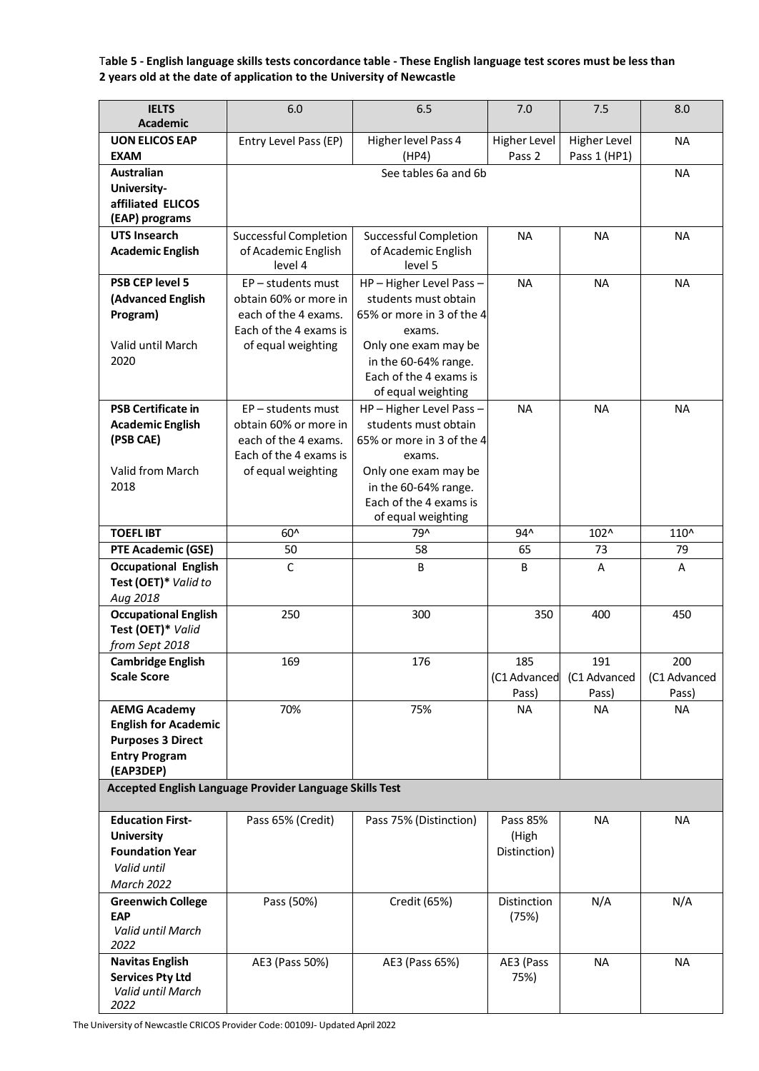Table 5 - English language skills tests concordance table - These English language test scores must be less than **2 years old at the date of application to the University of Newcastle**

| <b>IELTS</b>                         | 6.0                                                     | 6.5                            | 7.0                    | 7.5                                 | 8.0          |
|--------------------------------------|---------------------------------------------------------|--------------------------------|------------------------|-------------------------------------|--------------|
| <b>Academic</b>                      |                                                         |                                |                        |                                     |              |
| <b>UON ELICOS EAP</b><br><b>EXAM</b> | Entry Level Pass (EP)                                   | Higher level Pass 4<br>(HP4)   | Higher Level<br>Pass 2 | <b>Higher Level</b><br>Pass 1 (HP1) | <b>NA</b>    |
| <b>Australian</b>                    |                                                         | See tables 6a and 6b           |                        |                                     |              |
|                                      |                                                         |                                |                        |                                     | <b>NA</b>    |
| University-                          |                                                         |                                |                        |                                     |              |
| affiliated ELICOS                    |                                                         |                                |                        |                                     |              |
| (EAP) programs                       |                                                         |                                |                        |                                     |              |
| <b>UTS Insearch</b>                  | <b>Successful Completion</b>                            | <b>Successful Completion</b>   | <b>NA</b>              | <b>NA</b>                           | <b>NA</b>    |
| <b>Academic English</b>              | of Academic English<br>level 4                          | of Academic English<br>level 5 |                        |                                     |              |
|                                      |                                                         |                                |                        |                                     |              |
| PSB CEP level 5                      | EP-students must                                        | HP-Higher Level Pass-          | <b>NA</b>              | <b>NA</b>                           | <b>NA</b>    |
| (Advanced English                    | obtain 60% or more in                                   | students must obtain           |                        |                                     |              |
| Program)                             | each of the 4 exams.                                    | 65% or more in 3 of the 4      |                        |                                     |              |
|                                      | Each of the 4 exams is                                  | exams.                         |                        |                                     |              |
| Valid until March                    | of equal weighting                                      | Only one exam may be           |                        |                                     |              |
| 2020                                 |                                                         | in the 60-64% range.           |                        |                                     |              |
|                                      |                                                         | Each of the 4 exams is         |                        |                                     |              |
|                                      |                                                         | of equal weighting             |                        |                                     |              |
| <b>PSB Certificate in</b>            | EP-students must                                        | HP-Higher Level Pass-          | <b>NA</b>              | <b>NA</b>                           | <b>NA</b>    |
| <b>Academic English</b>              | obtain 60% or more in                                   | students must obtain           |                        |                                     |              |
| (PSB CAE)                            | each of the 4 exams.                                    | 65% or more in 3 of the 4      |                        |                                     |              |
|                                      | Each of the 4 exams is                                  | exams.                         |                        |                                     |              |
| Valid from March                     | of equal weighting                                      | Only one exam may be           |                        |                                     |              |
| 2018                                 |                                                         | in the 60-64% range.           |                        |                                     |              |
|                                      |                                                         | Each of the 4 exams is         |                        |                                     |              |
|                                      |                                                         | of equal weighting             |                        |                                     |              |
| <b>TOEFLIBT</b>                      | $60^$                                                   | 79^                            | 94^                    | 102^                                | 110^         |
| PTE Academic (GSE)                   | 50                                                      | 58                             | 65                     | 73                                  | 79           |
| <b>Occupational English</b>          | $\mathsf{C}$                                            | B                              | B                      | A                                   | A            |
| Test (OET)* Valid to                 |                                                         |                                |                        |                                     |              |
| Aug 2018                             |                                                         |                                |                        |                                     |              |
| <b>Occupational English</b>          | 250                                                     | 300                            | 350                    | 400                                 | 450          |
| Test (OET)* Valid                    |                                                         |                                |                        |                                     |              |
| from Sept 2018                       |                                                         |                                |                        |                                     |              |
| <b>Cambridge English</b>             | 169                                                     | 176                            | 185                    | 191                                 | 200          |
| <b>Scale Score</b>                   |                                                         |                                |                        | (C1 Advanced (C1 Advanced           | (C1 Advanced |
|                                      |                                                         |                                | Pass)                  | Pass)                               | Pass)        |
| <b>AEMG Academy</b>                  | 70%                                                     | 75%                            | <b>NA</b>              | <b>NA</b>                           | <b>NA</b>    |
| <b>English for Academic</b>          |                                                         |                                |                        |                                     |              |
| <b>Purposes 3 Direct</b>             |                                                         |                                |                        |                                     |              |
| <b>Entry Program</b>                 |                                                         |                                |                        |                                     |              |
| (EAP3DEP)                            |                                                         |                                |                        |                                     |              |
|                                      | Accepted English Language Provider Language Skills Test |                                |                        |                                     |              |
| <b>Education First-</b>              | Pass 65% (Credit)                                       | Pass 75% (Distinction)         | Pass 85%               | <b>NA</b>                           | <b>NA</b>    |
| <b>University</b>                    |                                                         |                                | (High                  |                                     |              |
| <b>Foundation Year</b>               |                                                         |                                | Distinction)           |                                     |              |
| Valid until                          |                                                         |                                |                        |                                     |              |
| <b>March 2022</b>                    |                                                         |                                |                        |                                     |              |
|                                      |                                                         |                                | Distinction            | N/A                                 |              |
| <b>Greenwich College</b><br>EAP      | Pass (50%)                                              | Credit (65%)                   | (75%)                  |                                     | N/A          |
| Valid until March                    |                                                         |                                |                        |                                     |              |
| 2022                                 |                                                         |                                |                        |                                     |              |
|                                      |                                                         |                                |                        |                                     |              |
|                                      |                                                         |                                |                        |                                     |              |
| <b>Navitas English</b>               | AE3 (Pass 50%)                                          | AE3 (Pass 65%)                 | AE3 (Pass              | <b>NA</b>                           | <b>NA</b>    |
| <b>Services Pty Ltd</b>              |                                                         |                                | 75%)                   |                                     |              |
| Valid until March<br>2022            |                                                         |                                |                        |                                     |              |

The University of Newcastle CRICOS Provider Code: 00109J- Updated April 2022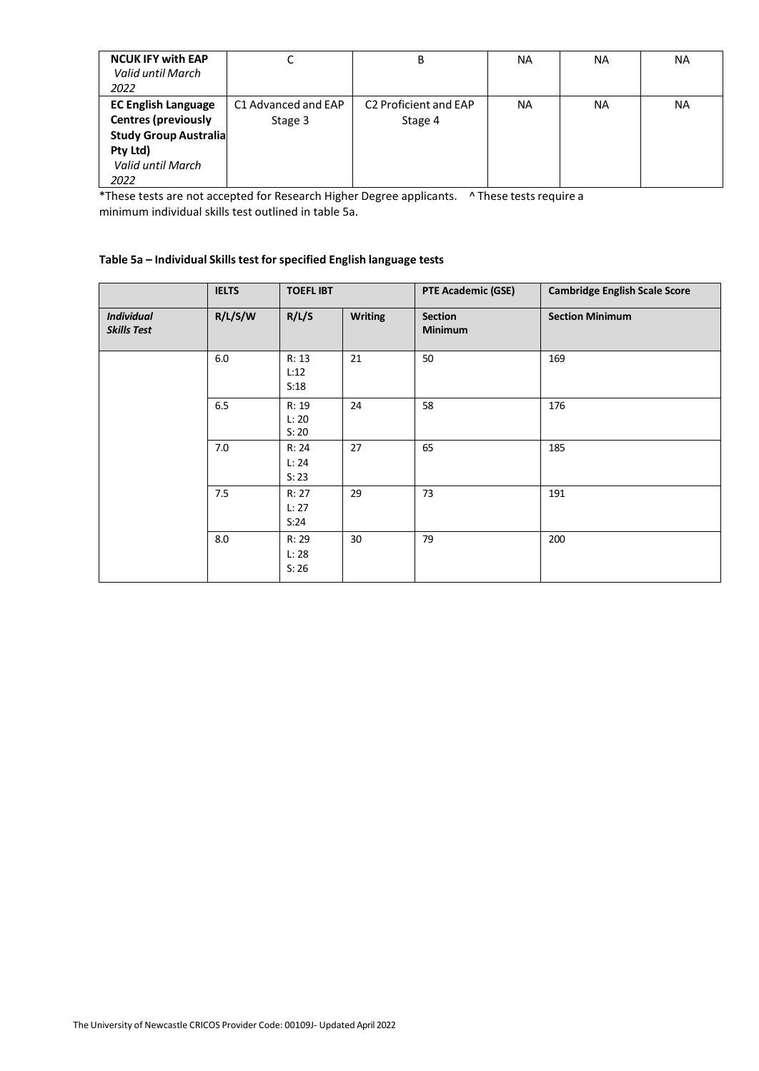| <b>NCUK IFY with EAP</b><br>Valid until March<br>2022                                                                             |                                | B                                            | NA | <b>NA</b> | <b>NA</b> |
|-----------------------------------------------------------------------------------------------------------------------------------|--------------------------------|----------------------------------------------|----|-----------|-----------|
| <b>EC English Language</b><br><b>Centres (previously</b><br><b>Study Group Australia</b><br>Pty Ltd)<br>Valid until March<br>2022 | C1 Advanced and EAP<br>Stage 3 | C <sub>2</sub> Proficient and EAP<br>Stage 4 | NA | <b>NA</b> | <b>NA</b> |

\*These tests are not accepted for Research Higher Degree applicants. ^ These tests require a minimum individual skills test outlined in table 5a.

## **Table 5a – Individual Skills test for specified English language tests**

|                                         | <b>IELTS</b> | <b>TOEFLIBT</b>         |                | <b>PTE Academic (GSE)</b>        | <b>Cambridge English Scale Score</b> |
|-----------------------------------------|--------------|-------------------------|----------------|----------------------------------|--------------------------------------|
| <b>Individual</b><br><b>Skills Test</b> | R/L/S/W      | R/L/S                   | <b>Writing</b> | <b>Section</b><br><b>Minimum</b> | <b>Section Minimum</b>               |
|                                         | $6.0\,$      | R: 13<br>L:12<br>S:18   | 21             | 50                               | 169                                  |
|                                         | 6.5          | R: 19<br>L: 20<br>S: 20 | 24             | 58                               | 176                                  |
|                                         | 7.0          | R: 24<br>L: 24<br>S: 23 | 27             | 65                               | 185                                  |
|                                         | 7.5          | R: 27<br>L: 27<br>S:24  | 29             | 73                               | 191                                  |
|                                         | 8.0          | R: 29<br>L: 28<br>S:26  | 30             | 79                               | 200                                  |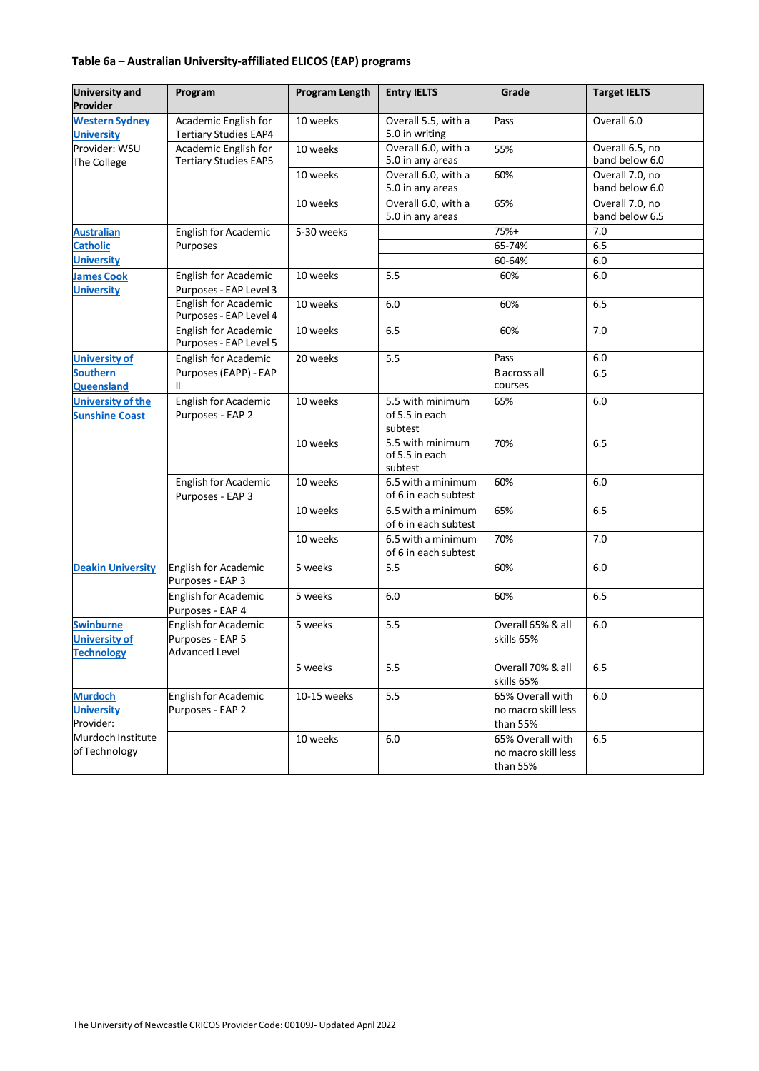## **Table 6a – Australian University-affiliated ELICOS (EAP) programs**

| <b>University and</b><br><b>Provider</b>                      | Program                                                           | <b>Program Length</b> | <b>Entry IELTS</b>                            | Grade                                               | <b>Target IELTS</b>               |
|---------------------------------------------------------------|-------------------------------------------------------------------|-----------------------|-----------------------------------------------|-----------------------------------------------------|-----------------------------------|
| <b>Western Sydney</b><br><b>University</b>                    | Academic English for<br><b>Tertiary Studies EAP4</b>              | 10 weeks              | Overall 5.5, with a<br>5.0 in writing         | Pass                                                | Overall 6.0                       |
| Provider: WSU<br>The College                                  | Academic English for<br><b>Tertiary Studies EAP5</b>              | 10 weeks              | Overall 6.0, with a<br>5.0 in any areas       | 55%                                                 | Overall 6.5, no<br>band below 6.0 |
|                                                               |                                                                   | 10 weeks              | Overall 6.0, with a<br>5.0 in any areas       | 60%                                                 | Overall 7.0, no<br>band below 6.0 |
|                                                               |                                                                   | 10 weeks              | Overall 6.0, with a<br>5.0 in any areas       | 65%                                                 | Overall 7.0, no<br>band below 6.5 |
| <b>Australian</b>                                             | English for Academic                                              | 5-30 weeks            |                                               | 75%+                                                | 7.0                               |
| <b>Catholic</b>                                               | Purposes                                                          |                       |                                               | 65-74%                                              | 6.5                               |
| <b>University</b>                                             |                                                                   |                       |                                               | 60-64%                                              | 6.0                               |
| <b>James Cook</b><br><b>University</b>                        | English for Academic<br>Purposes - EAP Level 3                    | 10 weeks              | 5.5                                           | 60%                                                 | 6.0                               |
|                                                               | <b>English for Academic</b><br>Purposes - EAP Level 4             | 10 weeks              | 6.0                                           | 60%                                                 | 6.5                               |
|                                                               | <b>English for Academic</b><br>Purposes - EAP Level 5             | 10 weeks              | 6.5                                           | 60%                                                 | 7.0                               |
| <b>University of</b>                                          | <b>English for Academic</b>                                       | 20 weeks              | 5.5                                           | Pass                                                | 6.0                               |
| <b>Southern</b><br><b>Queensland</b>                          | Purposes (EAPP) - EAP<br>Ш                                        |                       |                                               | <b>B</b> across all<br>courses                      | 6.5                               |
| <b>University of the</b><br><b>Sunshine Coast</b>             | <b>English for Academic</b><br>Purposes - EAP 2                   | 10 weeks              | 5.5 with minimum<br>of 5.5 in each<br>subtest | 65%                                                 | 6.0                               |
|                                                               |                                                                   | 10 weeks              | 5.5 with minimum<br>of 5.5 in each<br>subtest | 70%                                                 | 6.5                               |
|                                                               | English for Academic<br>Purposes - EAP 3                          | 10 weeks              | 6.5 with a minimum<br>of 6 in each subtest    | 60%                                                 | 6.0                               |
|                                                               |                                                                   | 10 weeks              | 6.5 with a minimum<br>of 6 in each subtest    | 65%                                                 | 6.5                               |
|                                                               |                                                                   | 10 weeks              | 6.5 with a minimum<br>of 6 in each subtest    | 70%                                                 | 7.0                               |
| <b>Deakin University</b>                                      | <b>English for Academic</b><br>Purposes - EAP 3                   | 5 weeks               | 5.5                                           | 60%                                                 | 6.0                               |
|                                                               | English for Academic<br>Purposes - EAP 4                          | 5 weeks               | 6.0                                           | 60%                                                 | 6.5                               |
| <b>Swinburne</b><br><b>University of</b><br><b>Technology</b> | English for Academic<br>Purposes - EAP 5<br><b>Advanced Level</b> | 5 weeks               | 5.5                                           | Overall 65% & all<br>skills 65%                     | 6.0                               |
|                                                               |                                                                   | 5 weeks               | 5.5                                           | Overall 70% & all<br>skills 65%                     | 6.5                               |
| <b>Murdoch</b><br><b>University</b><br>Provider:              | <b>English for Academic</b><br>Purposes - EAP 2                   | 10-15 weeks           | 5.5                                           | 65% Overall with<br>no macro skill less<br>than 55% | 6.0                               |
| Murdoch Institute<br>of Technology                            |                                                                   | 10 weeks              | $6.0\,$                                       | 65% Overall with<br>no macro skill less<br>than 55% | 6.5                               |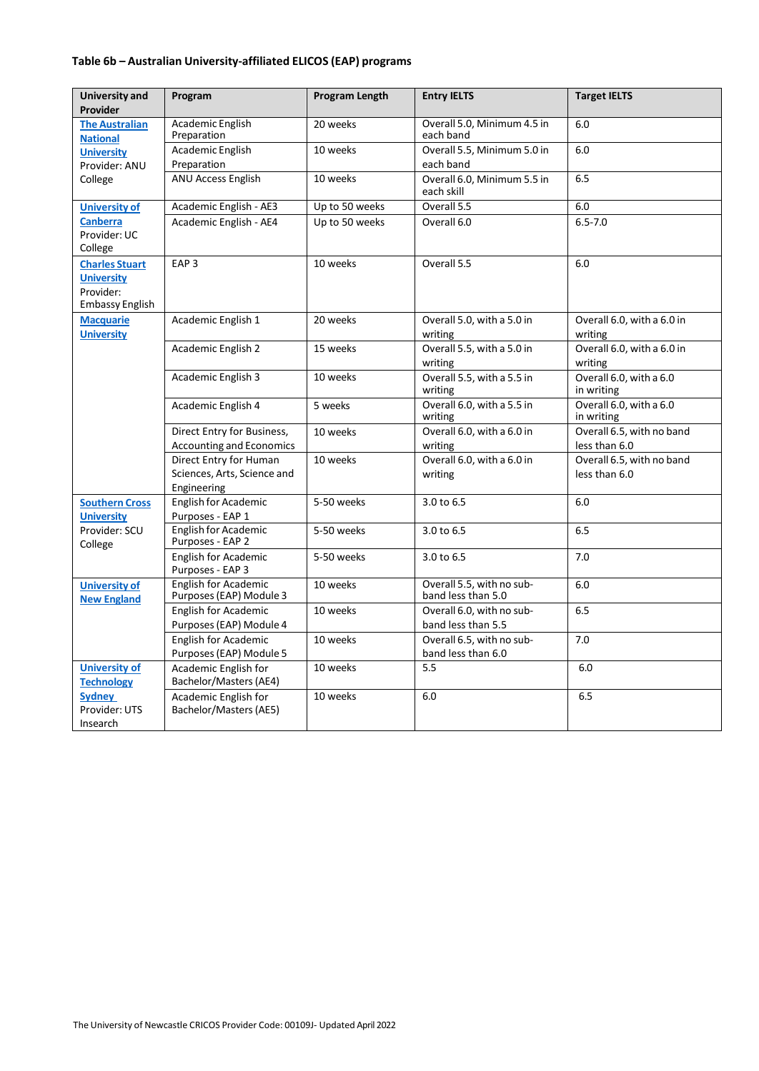## **Table 6b – Australian University-affiliated ELICOS (EAP) programs**

| University and                                                                    | Program                                                              | Program Length | <b>Entry IELTS</b>                              | <b>Target IELTS</b>                        |
|-----------------------------------------------------------------------------------|----------------------------------------------------------------------|----------------|-------------------------------------------------|--------------------------------------------|
| Provider                                                                          |                                                                      |                |                                                 |                                            |
| <b>The Australian</b><br><b>National</b>                                          | Academic English<br>Preparation                                      | 20 weeks       | Overall 5.0, Minimum 4.5 in<br>each band        | 6.0                                        |
| <b>University</b>                                                                 | Academic English                                                     | 10 weeks       | Overall 5.5, Minimum 5.0 in                     | 6.0                                        |
| Provider: ANU                                                                     | Preparation                                                          |                | each band                                       |                                            |
| College                                                                           | <b>ANU Access English</b>                                            | 10 weeks       | Overall 6.0, Minimum 5.5 in<br>each skill       | 6.5                                        |
| <b>University of</b>                                                              | Academic English - AE3                                               | Up to 50 weeks | Overall 5.5                                     | 6.0                                        |
| <b>Canberra</b><br>Provider: UC<br>College                                        | Academic English - AE4                                               | Up to 50 weeks | Overall 6.0                                     | $6.5 - 7.0$                                |
| <b>Charles Stuart</b><br><b>University</b><br>Provider:<br><b>Embassy English</b> | EAP <sub>3</sub>                                                     | 10 weeks       | Overall 5.5                                     | 6.0                                        |
| <b>Macquarie</b><br><b>University</b>                                             | Academic English 1                                                   | 20 weeks       | Overall 5.0, with a 5.0 in<br>writing           | Overall 6.0, with a 6.0 in<br>writing      |
|                                                                                   | <b>Academic English 2</b>                                            | 15 weeks       | Overall 5.5, with a 5.0 in<br>writing           | Overall 6.0, with a 6.0 in<br>writing      |
|                                                                                   | <b>Academic English 3</b>                                            | 10 weeks       | Overall 5.5, with a 5.5 in<br>writing           | Overall 6.0, with a 6.0<br>in writing      |
|                                                                                   | Academic English 4                                                   | 5 weeks        | Overall 6.0, with a 5.5 in<br>writing           | Overall 6.0, with a 6.0<br>in writing      |
|                                                                                   | Direct Entry for Business,                                           | 10 weeks       | Overall 6.0, with a 6.0 in                      | Overall 6.5, with no band                  |
|                                                                                   | <b>Accounting and Economics</b>                                      |                | writing                                         | less than 6.0                              |
|                                                                                   | Direct Entry for Human<br>Sciences, Arts, Science and<br>Engineering | 10 weeks       | Overall 6.0, with a 6.0 in<br>writing           | Overall 6.5, with no band<br>less than 6.0 |
| <b>Southern Cross</b>                                                             | English for Academic                                                 | 5-50 weeks     | 3.0 to 6.5                                      | 6.0                                        |
| <b>University</b>                                                                 | Purposes - EAP 1                                                     |                |                                                 |                                            |
| Provider: SCU<br>College                                                          | <b>English for Academic</b><br>Purposes - EAP 2                      | 5-50 weeks     | $3.0 \text{ to } 6.5$                           | 6.5                                        |
|                                                                                   | <b>English for Academic</b><br>Purposes - EAP 3                      | 5-50 weeks     | 3.0 to 6.5                                      | 7.0                                        |
| <b>University of</b><br><b>New England</b>                                        | <b>English for Academic</b><br>Purposes (EAP) Module 3               | 10 weeks       | Overall 5.5, with no sub-<br>band less than 5.0 | 6.0                                        |
|                                                                                   | <b>English for Academic</b>                                          | 10 weeks       | Overall 6.0, with no sub-                       | 6.5                                        |
|                                                                                   | Purposes (EAP) Module 4                                              |                | band less than 5.5                              |                                            |
|                                                                                   | English for Academic                                                 | 10 weeks       | Overall 6.5, with no sub-                       | 7.0                                        |
|                                                                                   | Purposes (EAP) Module 5                                              |                | band less than 6.0                              |                                            |
| <b>University of</b><br><b>Technology</b>                                         | Academic English for<br>Bachelor/Masters (AE4)                       | 10 weeks       | 5.5                                             | 6.0                                        |
| <b>Sydney</b><br>Provider: UTS<br>Insearch                                        | Academic English for<br>Bachelor/Masters (AE5)                       | 10 weeks       | 6.0                                             | 6.5                                        |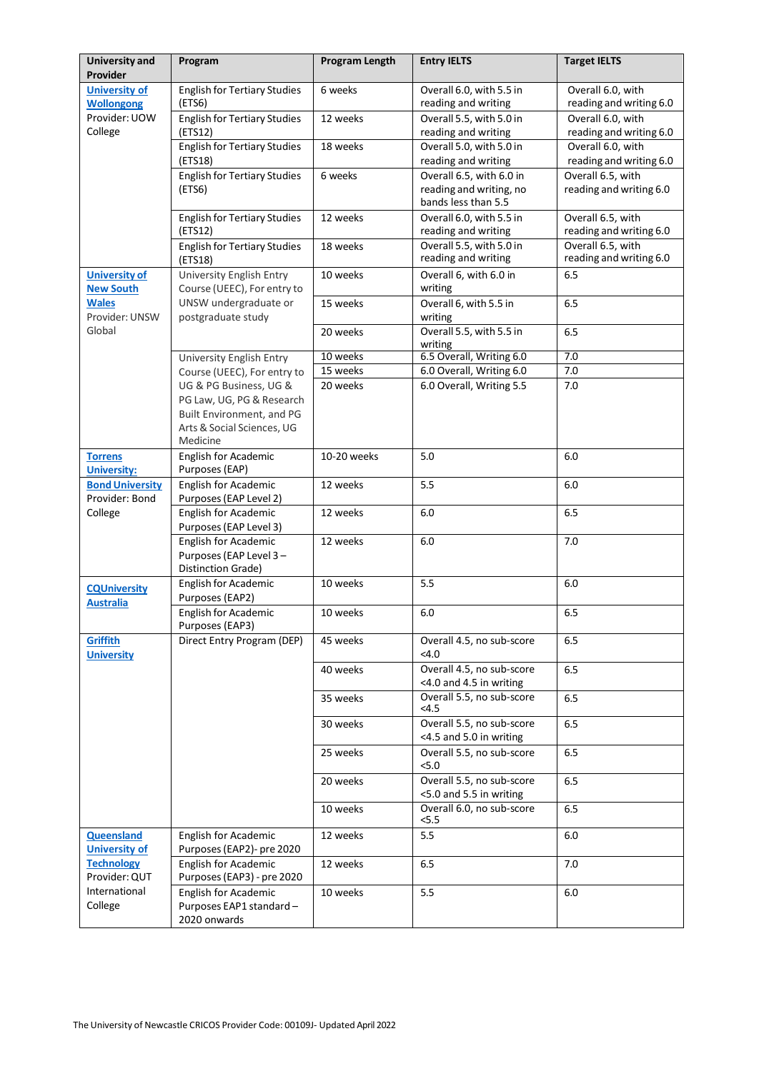| <b>University and</b><br>Provider                                     | Program                                                                                                                    | <b>Program Length</b> | <b>Entry IELTS</b>                                                         | <b>Target IELTS</b>                          |
|-----------------------------------------------------------------------|----------------------------------------------------------------------------------------------------------------------------|-----------------------|----------------------------------------------------------------------------|----------------------------------------------|
| <b>University of</b><br><b>Wollongong</b><br>Provider: UOW<br>College | <b>English for Tertiary Studies</b><br>(ETS6)                                                                              | 6 weeks               | Overall 6.0, with 5.5 in<br>reading and writing                            | Overall 6.0, with<br>reading and writing 6.0 |
|                                                                       | <b>English for Tertiary Studies</b><br>(ETS12)                                                                             | 12 weeks              | Overall 5.5, with 5.0 in<br>reading and writing                            | Overall 6.0, with<br>reading and writing 6.0 |
|                                                                       | <b>English for Tertiary Studies</b><br>(ETS18)                                                                             | 18 weeks              | Overall 5.0, with 5.0 in<br>reading and writing                            | Overall 6.0, with<br>reading and writing 6.0 |
|                                                                       | <b>English for Tertiary Studies</b><br>(ETS6)                                                                              | 6 weeks               | Overall 6.5, with 6.0 in<br>reading and writing, no<br>bands less than 5.5 | Overall 6.5, with<br>reading and writing 6.0 |
|                                                                       | <b>English for Tertiary Studies</b><br>(ETS12)                                                                             | 12 weeks              | Overall 6.0, with 5.5 in<br>reading and writing                            | Overall 6.5, with<br>reading and writing 6.0 |
|                                                                       | <b>English for Tertiary Studies</b><br>(ETS18)                                                                             | 18 weeks              | Overall 5.5, with 5.0 in<br>reading and writing                            | Overall 6.5, with<br>reading and writing 6.0 |
| <b>University of</b><br><b>New South</b>                              | University English Entry<br>Course (UEEC), For entry to                                                                    | 10 weeks              | Overall 6, with 6.0 in<br>writing                                          | 6.5                                          |
| <b>Wales</b><br>Provider: UNSW                                        | UNSW undergraduate or<br>postgraduate study                                                                                | 15 weeks              | Overall 6, with 5.5 in<br>writing                                          | 6.5                                          |
| Global                                                                |                                                                                                                            | 20 weeks              | Overall 5.5, with 5.5 in<br>writing                                        | 6.5                                          |
|                                                                       | University English Entry                                                                                                   | 10 weeks              | 6.5 Overall, Writing 6.0                                                   | 7.0                                          |
|                                                                       | Course (UEEC), For entry to                                                                                                | 15 weeks              | 6.0 Overall, Writing 6.0                                                   | 7.0                                          |
|                                                                       | UG & PG Business, UG &<br>PG Law, UG, PG & Research<br>Built Environment, and PG<br>Arts & Social Sciences, UG<br>Medicine | 20 weeks              | 6.0 Overall, Writing 5.5                                                   | 7.0                                          |
| <b>Torrens</b><br><b>University:</b>                                  | English for Academic<br>Purposes (EAP)                                                                                     | 10-20 weeks           | 5.0                                                                        | 6.0                                          |
| <b>Bond University</b><br>Provider: Bond                              | English for Academic<br>Purposes (EAP Level 2)                                                                             | 12 weeks              | 5.5                                                                        | 6.0                                          |
| College                                                               | English for Academic<br>Purposes (EAP Level 3)                                                                             | 12 weeks              | $6.0\,$                                                                    | 6.5                                          |
|                                                                       | <b>English for Academic</b><br>Purposes (EAP Level 3-<br>Distinction Grade)                                                | 12 weeks              | 6.0                                                                        | 7.0                                          |
| <b>CQUniversity</b><br><b>Australia</b>                               | English for Academic<br>Purposes (EAP2)                                                                                    | 10 weeks              | 5.5                                                                        | 6.0                                          |
|                                                                       | <b>English for Academic</b><br>Purposes (EAP3)                                                                             | 10 weeks              | 6.0                                                                        | 6.5                                          |
| Griffith<br><b>University</b>                                         | Direct Entry Program (DEP)                                                                                                 | 45 weeks              | Overall 4.5, no sub-score<br>$<$ 4.0                                       | 6.5                                          |
|                                                                       |                                                                                                                            | 40 weeks              | Overall 4.5, no sub-score<br><4.0 and 4.5 in writing                       | 6.5                                          |
|                                                                       |                                                                                                                            | 35 weeks              | Overall 5.5, no sub-score<br>< 4.5                                         | 6.5                                          |
|                                                                       |                                                                                                                            | 30 weeks              | Overall 5.5, no sub-score<br><4.5 and 5.0 in writing                       | 6.5                                          |
|                                                                       |                                                                                                                            | 25 weeks              | Overall 5.5, no sub-score<br>5.0                                           | 6.5                                          |
|                                                                       |                                                                                                                            | 20 weeks              | Overall 5.5, no sub-score<br><5.0 and 5.5 in writing                       | 6.5                                          |
|                                                                       |                                                                                                                            | 10 weeks              | Overall 6.0, no sub-score<br>5.5                                           | 6.5                                          |
| Queensland<br><b>University of</b>                                    | English for Academic<br>Purposes (EAP2)- pre 2020                                                                          | 12 weeks              | 5.5                                                                        | $6.0\,$                                      |
| <b>Technology</b><br>Provider: QUT                                    | <b>English for Academic</b><br>Purposes (EAP3) - pre 2020                                                                  | 12 weeks              | 6.5                                                                        | 7.0                                          |
| International<br>College                                              | English for Academic<br>Purposes EAP1 standard-<br>2020 onwards                                                            | 10 weeks              | 5.5                                                                        | 6.0                                          |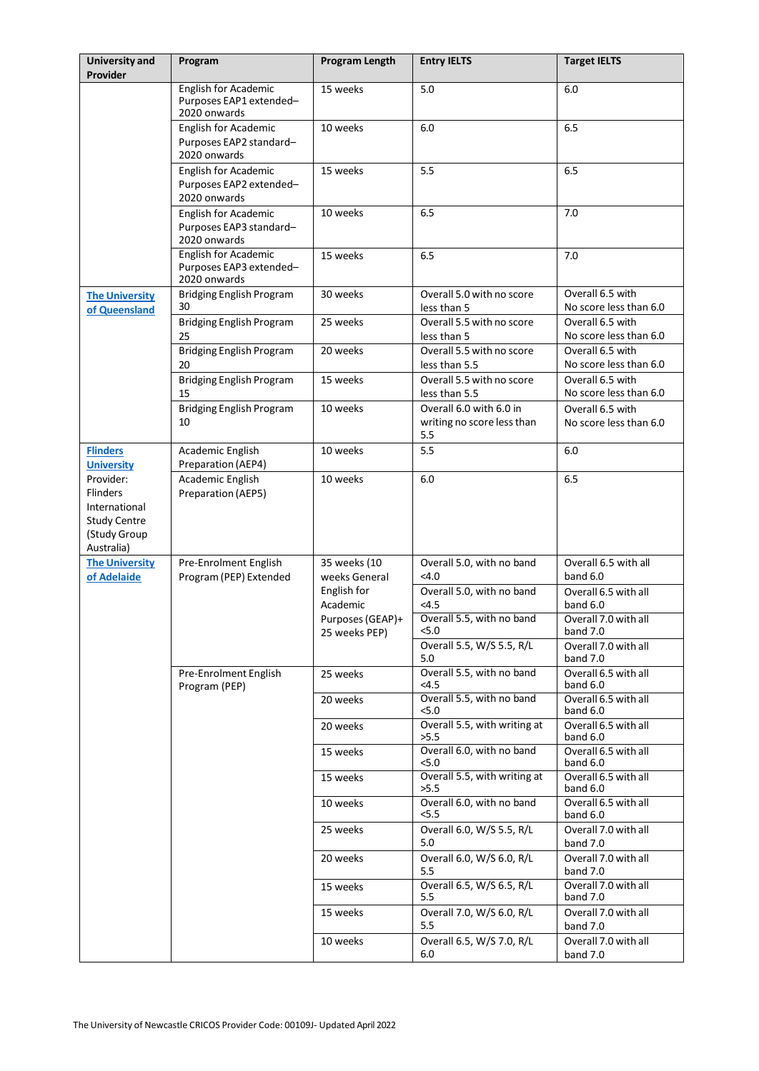| <b>University and</b><br>Provider                                                                  | Program                                                                | <b>Program Length</b>             | <b>Entry IELTS</b>                                           | <b>Target IELTS</b>                        |
|----------------------------------------------------------------------------------------------------|------------------------------------------------------------------------|-----------------------------------|--------------------------------------------------------------|--------------------------------------------|
|                                                                                                    | English for Academic<br>Purposes EAP1 extended-<br>2020 onwards        | 15 weeks                          | 5.0                                                          | 6.0                                        |
|                                                                                                    | <b>English for Academic</b><br>Purposes EAP2 standard-<br>2020 onwards | 10 weeks                          | 6.0                                                          | 6.5                                        |
|                                                                                                    | English for Academic<br>Purposes EAP2 extended-<br>2020 onwards        | 15 weeks                          | 5.5                                                          | 6.5                                        |
|                                                                                                    | <b>English for Academic</b><br>Purposes EAP3 standard-<br>2020 onwards | 10 weeks                          | 6.5                                                          | 7.0                                        |
|                                                                                                    | English for Academic<br>Purposes EAP3 extended-<br>2020 onwards        | 15 weeks                          | 6.5                                                          | 7.0                                        |
| <b>The University</b><br>of Queensland                                                             | <b>Bridging English Program</b><br>30                                  | 30 weeks                          | Overall 5.0 with no score<br>less than 5                     | Overall 6.5 with<br>No score less than 6.0 |
|                                                                                                    | <b>Bridging English Program</b><br>25                                  | 25 weeks                          | Overall 5.5 with no score<br>less than 5                     | Overall 6.5 with<br>No score less than 6.0 |
|                                                                                                    | <b>Bridging English Program</b><br>20                                  | 20 weeks                          | Overall 5.5 with no score<br>less than 5.5                   | Overall 6.5 with<br>No score less than 6.0 |
|                                                                                                    | <b>Bridging English Program</b><br>15                                  | 15 weeks                          | Overall 5.5 with no score<br>less than 5.5                   | Overall 6.5 with<br>No score less than 6.0 |
|                                                                                                    | <b>Bridging English Program</b><br>10                                  | 10 weeks                          | Overall 6.0 with 6.0 in<br>writing no score less than<br>5.5 | Overall 6.5 with<br>No score less than 6.0 |
| <b>Flinders</b><br><b>University</b>                                                               | Academic English<br>Preparation (AEP4)                                 | 10 weeks                          | 5.5                                                          | 6.0                                        |
| Provider:<br><b>Flinders</b><br>International<br><b>Study Centre</b><br>(Study Group<br>Australia) | Academic English<br>Preparation (AEP5)                                 | 10 weeks                          | $6.0\,$                                                      | 6.5                                        |
| <b>The University</b><br>of Adelaide                                                               | Pre-Enrolment English<br>Program (PEP) Extended                        | 35 weeks (10<br>weeks General     | Overall 5.0, with no band<br>$<$ 4.0                         | Overall 6.5 with all<br>band $6.0$         |
|                                                                                                    |                                                                        | English for<br>Academic           | Overall 5.0, with no band<br><4.5                            | Overall 6.5 with all<br>band 6.0           |
|                                                                                                    |                                                                        | Purposes (GEAP)+<br>25 weeks PEP) | Overall 5.5, with no band<br>5.0                             | Overall 7.0 with all<br>band 7.0           |
|                                                                                                    |                                                                        |                                   | Overall 5.5, W/S 5.5, R/L<br>5.0                             | Overall 7.0 with all<br>band 7.0           |
|                                                                                                    | Pre-Enrolment English<br>Program (PEP)                                 | 25 weeks                          | Overall 5.5, with no band<br>$<$ 4.5                         | Overall 6.5 with all<br>band 6.0           |
|                                                                                                    |                                                                        | 20 weeks                          | Overall 5.5, with no band<br><5.0                            | Overall 6.5 with all<br>band 6.0           |
|                                                                                                    |                                                                        | 20 weeks                          | Overall 5.5, with writing at<br>>5.5                         | Overall 6.5 with all<br>band 6.0           |
|                                                                                                    |                                                                        | 15 weeks                          | Overall 6.0, with no band<br>5.0                             | Overall 6.5 with all<br>band 6.0           |
|                                                                                                    |                                                                        | 15 weeks                          | Overall 5.5, with writing at<br>>5.5                         | Overall 6.5 with all<br>band 6.0           |
|                                                                                                    |                                                                        | 10 weeks                          | Overall 6.0, with no band<br><5.5                            | Overall 6.5 with all<br>band 6.0           |
|                                                                                                    |                                                                        | 25 weeks                          | Overall 6.0, W/S 5.5, R/L<br>5.0                             | Overall 7.0 with all<br>band 7.0           |
|                                                                                                    |                                                                        | 20 weeks                          | Overall 6.0, W/S 6.0, R/L<br>5.5                             | Overall 7.0 with all<br>band 7.0           |
|                                                                                                    |                                                                        | 15 weeks                          | Overall 6.5, W/S 6.5, R/L<br>5.5                             | Overall 7.0 with all<br>band 7.0           |
|                                                                                                    |                                                                        | 15 weeks                          | Overall 7.0, W/S 6.0, R/L<br>5.5                             | Overall 7.0 with all<br>band 7.0           |
|                                                                                                    |                                                                        | 10 weeks                          | Overall 6.5, W/S 7.0, R/L<br>6.0                             | Overall 7.0 with all<br>band 7.0           |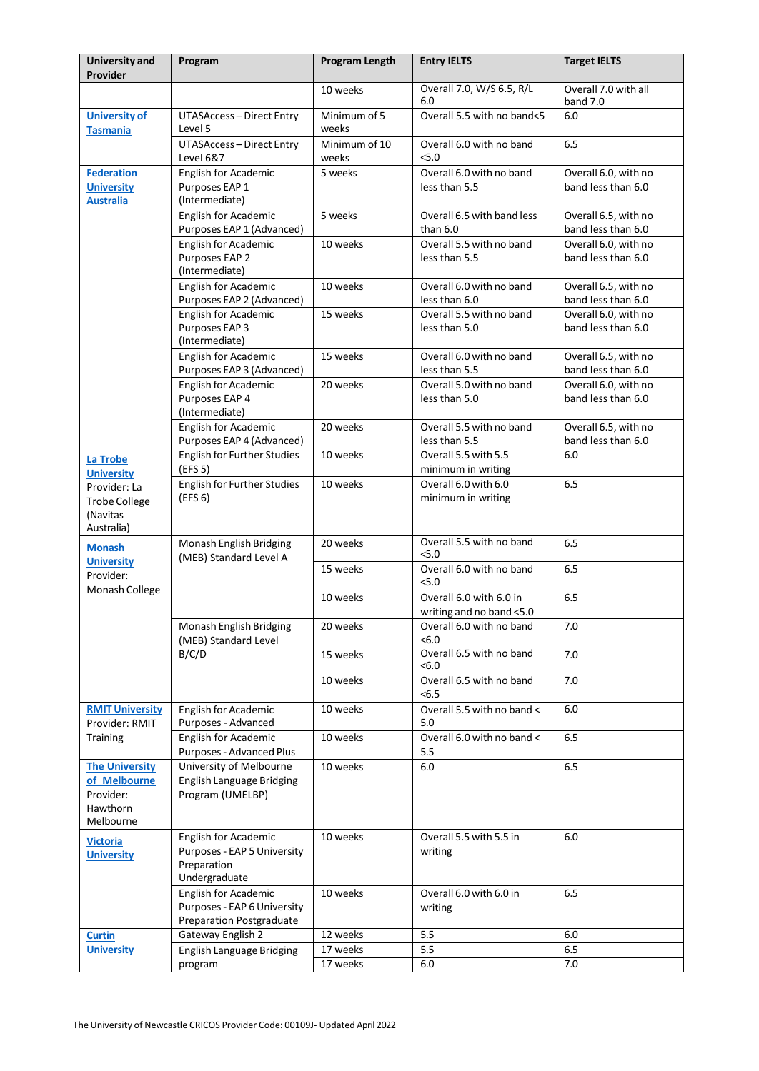| <b>University and</b><br>Provider                                                   | Program                                                                                | Program Length         | <b>Entry IELTS</b>                                  | <b>Target IELTS</b>                        |
|-------------------------------------------------------------------------------------|----------------------------------------------------------------------------------------|------------------------|-----------------------------------------------------|--------------------------------------------|
|                                                                                     |                                                                                        | 10 weeks               | Overall 7.0, W/S 6.5, R/L<br>6.0                    | Overall 7.0 with all<br>band 7.0           |
| <b>University of</b><br><b>Tasmania</b>                                             | UTASAccess - Direct Entry<br>Level 5                                                   | Minimum of 5<br>weeks  | Overall 5.5 with no band<5                          | 6.0                                        |
|                                                                                     | <b>UTASAccess-Direct Entry</b><br>Level 6&7                                            | Minimum of 10<br>weeks | Overall 6.0 with no band<br>5.0                     | 6.5                                        |
| <b>Federation</b><br><b>University</b><br><b>Australia</b>                          | English for Academic<br>Purposes EAP 1<br>(Intermediate)                               | 5 weeks                | Overall 6.0 with no band<br>less than 5.5           | Overall 6.0, with no<br>band less than 6.0 |
|                                                                                     | <b>English for Academic</b><br>Purposes EAP 1 (Advanced)                               | 5 weeks                | Overall 6.5 with band less<br>than $6.0$            | Overall 6.5, with no<br>band less than 6.0 |
|                                                                                     | English for Academic<br>Purposes EAP 2<br>(Intermediate)                               | 10 weeks               | Overall 5.5 with no band<br>less than 5.5           | Overall 6.0, with no<br>band less than 6.0 |
|                                                                                     | <b>English for Academic</b><br>Purposes EAP 2 (Advanced)                               | 10 weeks               | Overall 6.0 with no band<br>less than 6.0           | Overall 6.5, with no<br>band less than 6.0 |
|                                                                                     | English for Academic<br>Purposes EAP 3<br>(Intermediate)                               | 15 weeks               | Overall 5.5 with no band<br>less than 5.0           | Overall 6.0, with no<br>band less than 6.0 |
|                                                                                     | English for Academic<br>Purposes EAP 3 (Advanced)                                      | 15 weeks               | Overall 6.0 with no band<br>less than 5.5           | Overall 6.5, with no<br>band less than 6.0 |
|                                                                                     | English for Academic<br>Purposes EAP 4<br>(Intermediate)                               | 20 weeks               | Overall 5.0 with no band<br>less than 5.0           | Overall 6.0, with no<br>band less than 6.0 |
|                                                                                     | <b>English for Academic</b><br>Purposes EAP 4 (Advanced)                               | 20 weeks               | Overall 5.5 with no band<br>less than 5.5           | Overall 6.5, with no<br>band less than 6.0 |
| <b>La Trobe</b>                                                                     | <b>English for Further Studies</b><br>(EFS 5)                                          | 10 weeks               | Overall 5.5 with 5.5<br>minimum in writing          | 6.0                                        |
| <b>University</b><br>Provider: La<br><b>Trobe College</b><br>(Navitas<br>Australia) | <b>English for Further Studies</b><br>(EFS 6)                                          | 10 weeks               | Overall 6.0 with 6.0<br>minimum in writing          | 6.5                                        |
| <b>Monash</b><br><b>University</b><br>Provider:                                     | Monash English Bridging<br>(MEB) Standard Level A                                      | 20 weeks               | Overall 5.5 with no band<br>5.0                     | 6.5                                        |
|                                                                                     |                                                                                        | 15 weeks               | Overall 6.0 with no band<br>5.0                     | 6.5                                        |
| Monash College                                                                      |                                                                                        | 10 weeks               | Overall 6.0 with 6.0 in<br>writing and no band <5.0 | 6.5                                        |
|                                                                                     | Monash English Bridging<br>(MEB) Standard Level<br>B/C/D                               | 20 weeks               | Overall 6.0 with no band<br><6.0                    | 7.0                                        |
|                                                                                     |                                                                                        | 15 weeks               | Overall 6.5 with no band<br>< 6.0                   | 7.0                                        |
|                                                                                     |                                                                                        | 10 weeks               | Overall 6.5 with no band<br>< 6.5                   | 7.0                                        |
| <b>RMIT University</b><br>Provider: RMIT                                            | English for Academic<br>Purposes - Advanced                                            | 10 weeks               | Overall 5.5 with no band <<br>5.0                   | 6.0                                        |
| <b>Training</b>                                                                     | English for Academic<br>Purposes - Advanced Plus                                       | 10 weeks               | Overall 6.0 with no band <<br>5.5                   | 6.5                                        |
| <b>The University</b><br>of Melbourne<br>Provider:<br><b>Hawthorn</b><br>Melbourne  | University of Melbourne<br>English Language Bridging<br>Program (UMELBP)               | 10 weeks               | $6.0\,$                                             | 6.5                                        |
| <b>Victoria</b><br><b>University</b>                                                | English for Academic<br>Purposes - EAP 5 University<br>Preparation<br>Undergraduate    | 10 weeks               | Overall 5.5 with 5.5 in<br>writing                  | 6.0                                        |
|                                                                                     | English for Academic<br>Purposes - EAP 6 University<br><b>Preparation Postgraduate</b> | 10 weeks               | Overall 6.0 with 6.0 in<br>writing                  | 6.5                                        |
| <b>Curtin</b>                                                                       | Gateway English 2                                                                      | 12 weeks               | 5.5                                                 | 6.0                                        |
| <b>University</b>                                                                   | English Language Bridging                                                              | 17 weeks               | 5.5                                                 | 6.5                                        |
|                                                                                     | program                                                                                | 17 weeks               | 6.0                                                 | 7.0                                        |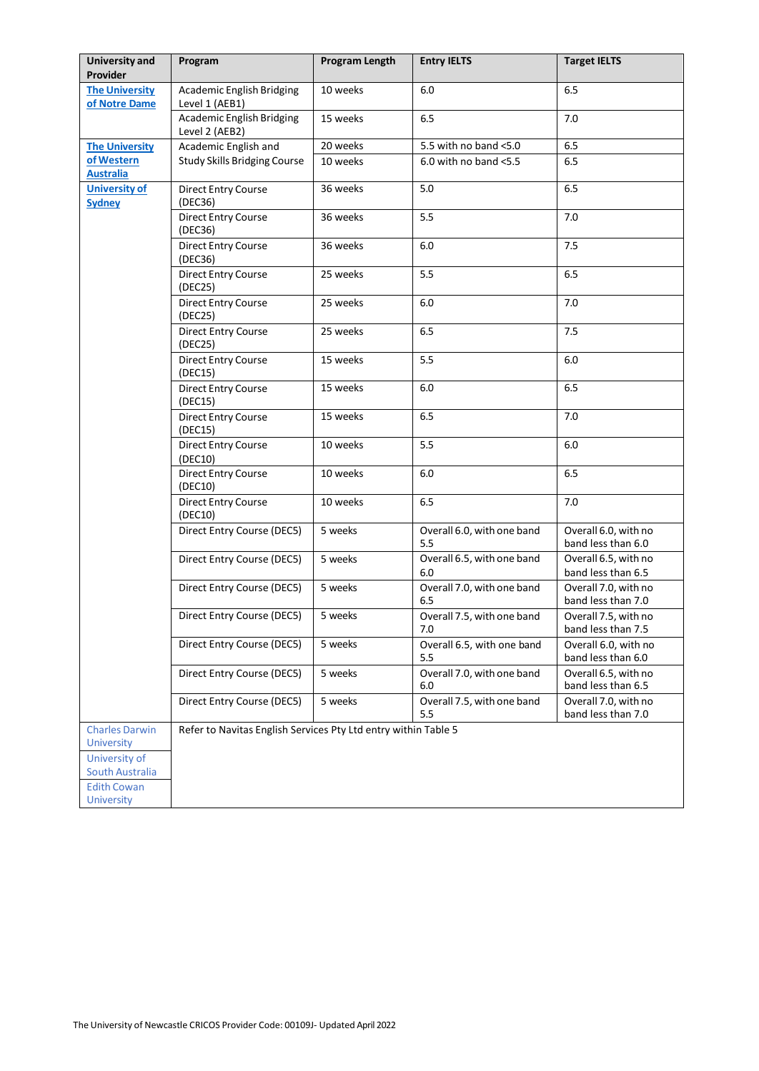| <b>University and</b><br>Provider          | Program                                                        | <b>Program Length</b> | <b>Entry IELTS</b>                | <b>Target IELTS</b>                        |
|--------------------------------------------|----------------------------------------------------------------|-----------------------|-----------------------------------|--------------------------------------------|
| <b>The University</b><br>of Notre Dame     | Academic English Bridging<br>Level 1 (AEB1)                    | 10 weeks              | 6.0                               | 6.5                                        |
|                                            | <b>Academic English Bridging</b><br>Level 2 (AEB2)             | 15 weeks              | 6.5                               | 7.0                                        |
| <b>The University</b>                      | Academic English and                                           | 20 weeks              | 5.5 with no band <5.0             | 6.5                                        |
| of Western<br><b>Australia</b>             | <b>Study Skills Bridging Course</b>                            | 10 weeks              | 6.0 with no band $<$ 5.5          | 6.5                                        |
| <b>University of</b><br><b>Sydney</b>      | Direct Entry Course<br>(DEC36)                                 | 36 weeks              | 5.0                               | 6.5                                        |
|                                            | <b>Direct Entry Course</b><br>(DEC36)                          | 36 weeks              | 5.5                               | 7.0                                        |
|                                            | Direct Entry Course<br>(DEC36)                                 | 36 weeks              | 6.0                               | 7.5                                        |
|                                            | <b>Direct Entry Course</b><br>(DEC25)                          | 25 weeks              | 5.5                               | 6.5                                        |
|                                            | <b>Direct Entry Course</b><br>(DEC25)                          | 25 weeks              | 6.0                               | 7.0                                        |
|                                            | <b>Direct Entry Course</b><br>(DEC25)                          | 25 weeks              | 6.5                               | 7.5                                        |
|                                            | Direct Entry Course<br>(DEC15)                                 | 15 weeks              | 5.5                               | 6.0                                        |
|                                            | <b>Direct Entry Course</b><br>(DEC15)                          | 15 weeks              | 6.0                               | 6.5                                        |
|                                            | Direct Entry Course<br>(DEC15)                                 | 15 weeks              | 6.5                               | 7.0                                        |
|                                            | Direct Entry Course<br>(DEC10)                                 | 10 weeks              | 5.5                               | 6.0                                        |
|                                            | Direct Entry Course<br>(DEC10)                                 | 10 weeks              | 6.0                               | 6.5                                        |
|                                            | <b>Direct Entry Course</b><br>(DEC10)                          | 10 weeks              | 6.5                               | 7.0                                        |
|                                            | Direct Entry Course (DEC5)                                     | 5 weeks               | Overall 6.0, with one band<br>5.5 | Overall 6.0, with no<br>band less than 6.0 |
|                                            | Direct Entry Course (DEC5)                                     | 5 weeks               | Overall 6.5, with one band<br>6.0 | Overall 6.5, with no<br>band less than 6.5 |
|                                            | Direct Entry Course (DEC5)                                     | 5 weeks               | Overall 7.0, with one band<br>6.5 | Overall 7.0, with no<br>band less than 7.0 |
|                                            | Direct Entry Course (DEC5)                                     | 5 weeks               | Overall 7.5, with one band<br>7.0 | Overall 7.5, with no<br>band less than 7.5 |
|                                            | Direct Entry Course (DEC5)                                     | 5 weeks               | Overall 6.5, with one band<br>5.5 | Overall 6.0, with no<br>band less than 6.0 |
|                                            | Direct Entry Course (DEC5)                                     | 5 weeks               | Overall 7.0, with one band<br>6.0 | Overall 6.5, with no<br>band less than 6.5 |
|                                            | Direct Entry Course (DEC5)                                     | 5 weeks               | Overall 7.5, with one band<br>5.5 | Overall 7.0, with no<br>band less than 7.0 |
| <b>Charles Darwin</b><br><b>University</b> | Refer to Navitas English Services Pty Ltd entry within Table 5 |                       |                                   |                                            |
| University of<br>South Australia           |                                                                |                       |                                   |                                            |
| <b>Edith Cowan</b><br><b>University</b>    |                                                                |                       |                                   |                                            |